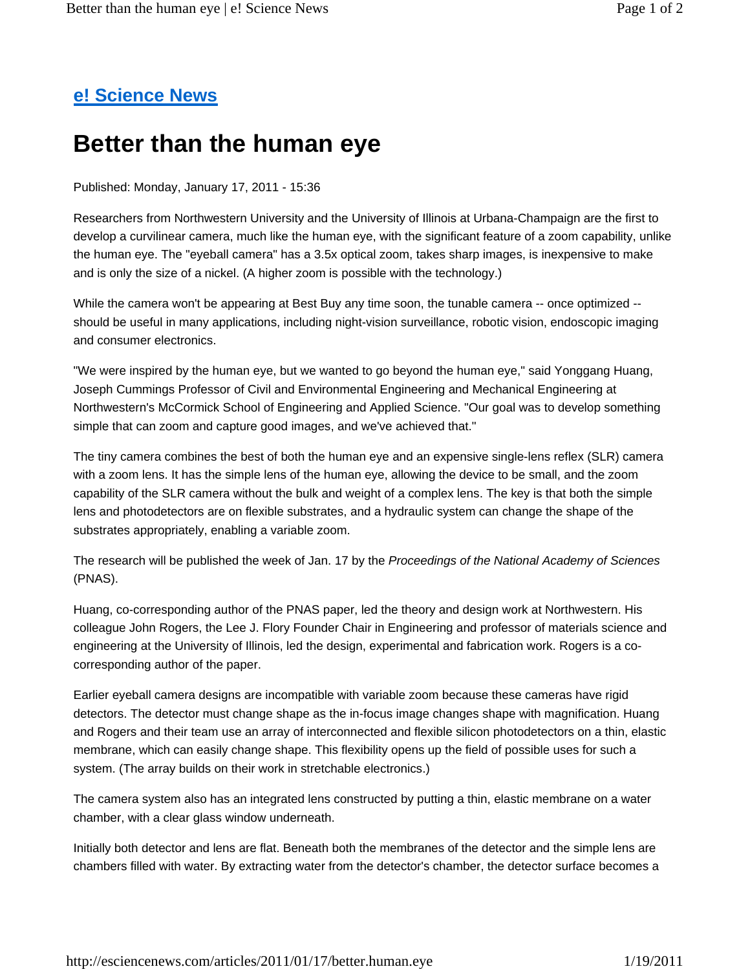## **e! Science News**

## **Better than the human eye**

Published: Monday, January 17, 2011 - 15:36

Researchers from Northwestern University and the University of Illinois at Urbana-Champaign are the first to develop a curvilinear camera, much like the human eye, with the significant feature of a zoom capability, unlike the human eye. The "eyeball camera" has a 3.5x optical zoom, takes sharp images, is inexpensive to make and is only the size of a nickel. (A higher zoom is possible with the technology.)

While the camera won't be appearing at Best Buy any time soon, the tunable camera -- once optimized -should be useful in many applications, including night-vision surveillance, robotic vision, endoscopic imaging and consumer electronics.

"We were inspired by the human eye, but we wanted to go beyond the human eye," said Yonggang Huang, Joseph Cummings Professor of Civil and Environmental Engineering and Mechanical Engineering at Northwestern's McCormick School of Engineering and Applied Science. "Our goal was to develop something simple that can zoom and capture good images, and we've achieved that."

The tiny camera combines the best of both the human eye and an expensive single-lens reflex (SLR) camera with a zoom lens. It has the simple lens of the human eye, allowing the device to be small, and the zoom capability of the SLR camera without the bulk and weight of a complex lens. The key is that both the simple lens and photodetectors are on flexible substrates, and a hydraulic system can change the shape of the substrates appropriately, enabling a variable zoom.

The research will be published the week of Jan. 17 by the *Proceedings of the National Academy of Sciences* (PNAS).

Huang, co-corresponding author of the PNAS paper, led the theory and design work at Northwestern. His colleague John Rogers, the Lee J. Flory Founder Chair in Engineering and professor of materials science and engineering at the University of Illinois, led the design, experimental and fabrication work. Rogers is a cocorresponding author of the paper.

Earlier eyeball camera designs are incompatible with variable zoom because these cameras have rigid detectors. The detector must change shape as the in-focus image changes shape with magnification. Huang and Rogers and their team use an array of interconnected and flexible silicon photodetectors on a thin, elastic membrane, which can easily change shape. This flexibility opens up the field of possible uses for such a system. (The array builds on their work in stretchable electronics.)

The camera system also has an integrated lens constructed by putting a thin, elastic membrane on a water chamber, with a clear glass window underneath.

Initially both detector and lens are flat. Beneath both the membranes of the detector and the simple lens are chambers filled with water. By extracting water from the detector's chamber, the detector surface becomes a